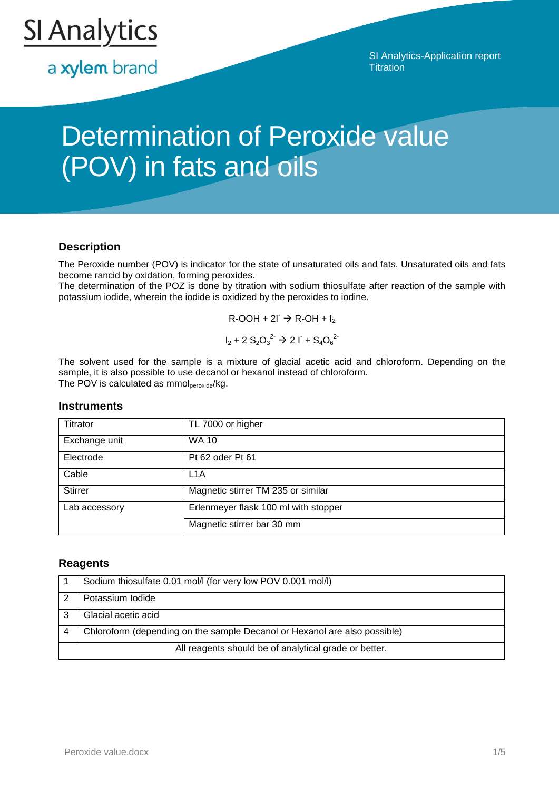

a xylem brand

SI Analytics-Application report **Titration** 

# Determination of Peroxide value (POV) in fats and oils

# **Description**

The Peroxide number (POV) is indicator for the state of unsaturated oils and fats. Unsaturated oils and fats become rancid by oxidation, forming peroxides.

The determination of the POZ is done by titration with sodium thiosulfate after reaction of the sample with potassium iodide, wherein the iodide is oxidized by the peroxides to iodine.

$$
R-OOH + 2I \rightarrow R-OH + I_2
$$

$$
I_2 + 2 S_2 O_3^{2} \rightarrow 2 I + S_4 O_6^{2}
$$

The solvent used for the sample is a mixture of glacial acetic acid and chloroform. Depending on the sample, it is also possible to use decanol or hexanol instead of chloroform. The POV is calculated as mmolperoxide/kg.

#### **Instruments**

| Titrator       | TL 7000 or higher                    |
|----------------|--------------------------------------|
| Exchange unit  | <b>WA 10</b>                         |
| Electrode      | Pt 62 oder Pt 61                     |
| Cable          | L <sub>1</sub> A                     |
| <b>Stirrer</b> | Magnetic stirrer TM 235 or similar   |
| Lab accessory  | Erlenmeyer flask 100 ml with stopper |
|                | Magnetic stirrer bar 30 mm           |

## **Reagents**

| Sodium thiosulfate 0.01 mol/l (for very low POV 0.001 mol/l)              |
|---------------------------------------------------------------------------|
| Potassium Iodide                                                          |
| Glacial acetic acid                                                       |
| Chloroform (depending on the sample Decanol or Hexanol are also possible) |
| All reagents should be of analytical grade or better.                     |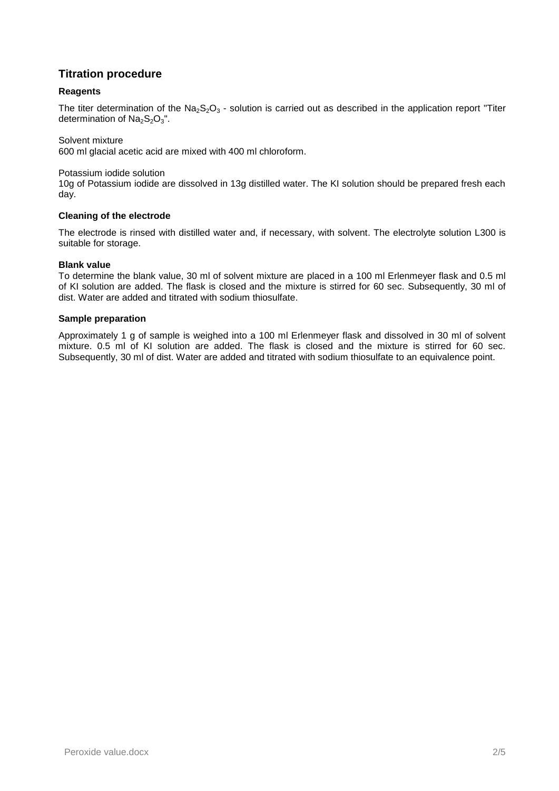# **Titration procedure**

#### **Reagents**

The titer determination of the  $Na<sub>2</sub>S<sub>2</sub>O<sub>3</sub>$  - solution is carried out as described in the application report "Titer determination of  $Na<sub>2</sub>S<sub>2</sub>O<sub>3</sub>$ ".

Solvent mixture

600 ml glacial acetic acid are mixed with 400 ml chloroform.

#### Potassium iodide solution

10g of Potassium iodide are dissolved in 13g distilled water. The KI solution should be prepared fresh each day.

#### **Cleaning of the electrode**

The electrode is rinsed with distilled water and, if necessary, with solvent. The electrolyte solution L300 is suitable for storage.

#### **Blank value**

To determine the blank value, 30 ml of solvent mixture are placed in a 100 ml Erlenmeyer flask and 0.5 ml of KI solution are added. The flask is closed and the mixture is stirred for 60 sec. Subsequently, 30 ml of dist. Water are added and titrated with sodium thiosulfate.

#### **Sample preparation**

Approximately 1 g of sample is weighed into a 100 ml Erlenmeyer flask and dissolved in 30 ml of solvent mixture. 0.5 ml of KI solution are added. The flask is closed and the mixture is stirred for 60 sec. Subsequently, 30 ml of dist. Water are added and titrated with sodium thiosulfate to an equivalence point.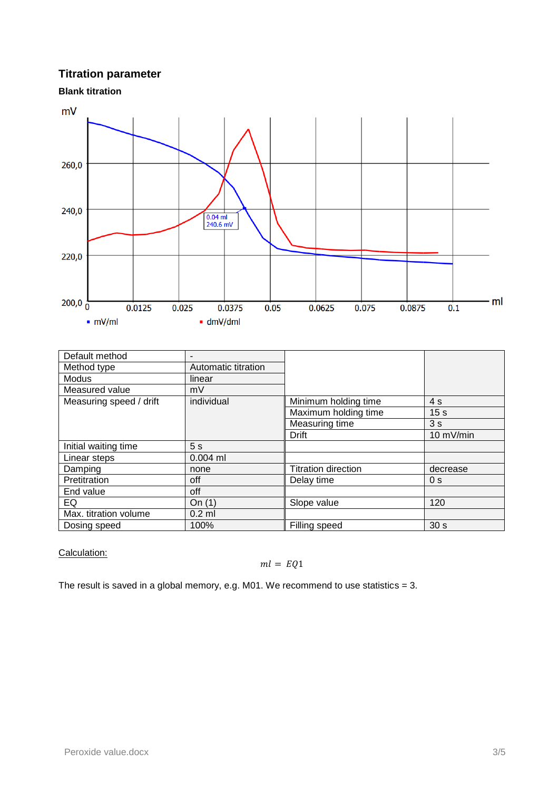# **Titration parameter**

**Blank titration**



| Default method          | -                   |                            |                 |
|-------------------------|---------------------|----------------------------|-----------------|
| Method type             | Automatic titration |                            |                 |
| <b>Modus</b>            | linear              |                            |                 |
| Measured value          | mV                  |                            |                 |
| Measuring speed / drift | individual          | Minimum holding time       | 4 s             |
|                         |                     | Maximum holding time       | 15 <sub>s</sub> |
|                         |                     | Measuring time             | 3s              |
|                         |                     | <b>Drift</b>               | 10 mV/min       |
| Initial waiting time    | 5s                  |                            |                 |
| Linear steps            | $0.004$ ml          |                            |                 |
| Damping                 | none                | <b>Titration direction</b> | decrease        |
| Pretitration            | off                 | Delay time                 | 0 <sub>s</sub>  |
| End value               | off                 |                            |                 |
| EQ                      | On $(1)$            | Slope value                | 120             |
| Max. titration volume   | $0.2$ ml            |                            |                 |
| Dosing speed            | 100%                | Filling speed              | 30 <sub>s</sub> |

# Calculation:

## $ml = EQ1$

The result is saved in a global memory, e.g. M01. We recommend to use statistics  $= 3$ .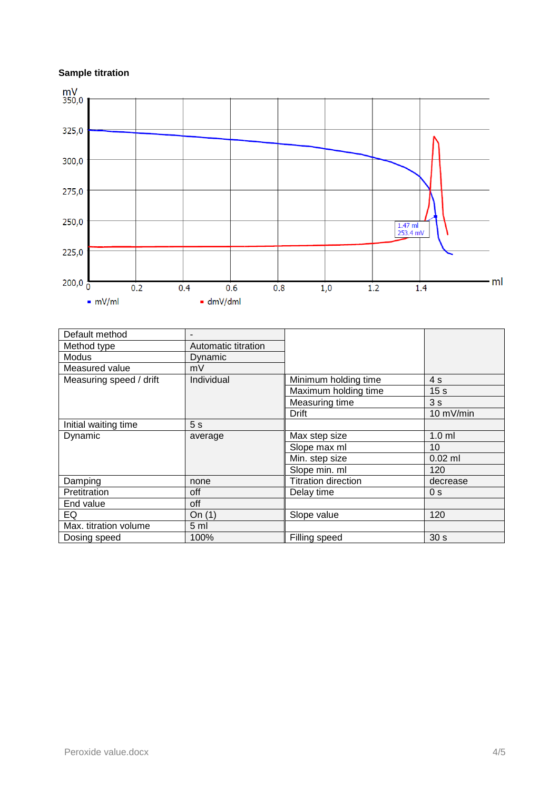#### **Sample titration**



| <b>NOQUS</b>            | Dynamic        |                            |                 |
|-------------------------|----------------|----------------------------|-----------------|
| Measured value          | mV             |                            |                 |
| Measuring speed / drift | Individual     | Minimum holding time       | 4 s             |
|                         |                | Maximum holding time       | 15 <sub>s</sub> |
|                         |                | Measuring time             | 3s              |
|                         |                | Drift                      | 10 mV/min       |
| Initial waiting time    | 5 <sub>s</sub> |                            |                 |
| Dynamic                 | average        | Max step size              | $1.0$ ml        |
|                         |                | Slope max ml               | 10              |
|                         |                | Min. step size             | $0.02$ ml       |
|                         |                | Slope min. ml              | 120             |
| Damping                 | none           | <b>Titration direction</b> | decrease        |
| Pretitration            | off            | Delay time                 | 0 <sub>s</sub>  |
| End value               | off            |                            |                 |
| EQ                      | On $(1)$       | Slope value                | 120             |
| Max. titration volume   | 5 <sub>m</sub> |                            |                 |
| Dosing speed            | 100%           | Filling speed              | 30 <sub>s</sub> |